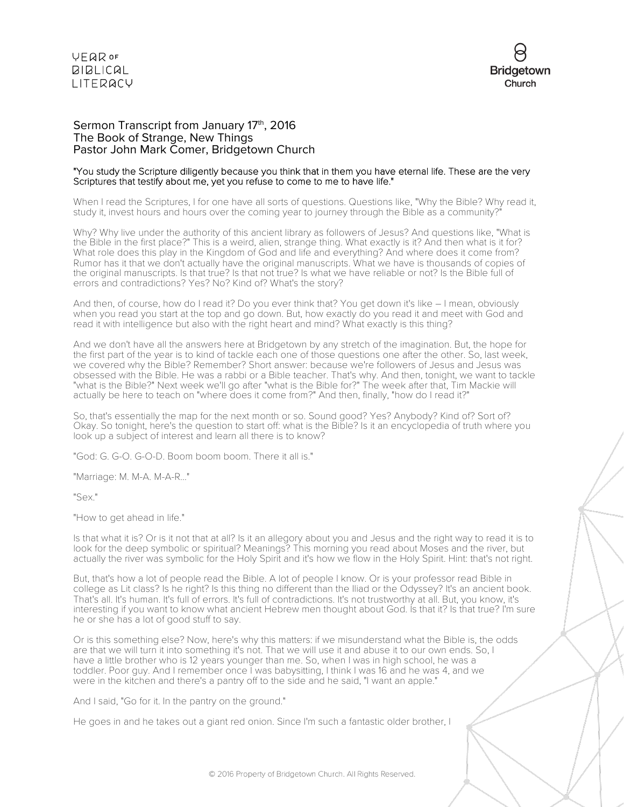

#### Sermon Transcript from January 17th, 2016 The Book of Strange, New Things Pastor John Mark Comer, Bridgetown Church

#### "You study the Scripture diligently because you think that in them you have eternal life. These are the very Scriptures that testify about me, yet you refuse to come to me to have life."

When I read the Scriptures, I for one have all sorts of questions. Questions like, "Why the Bible? Why read it, study it, invest hours and hours over the coming year to journey through the Bible as a community?"

Why? Why live under the authority of this ancient library as followers of Jesus? And questions like, "What is the Bible in the first place?" This is a weird, alien, strange thing. What exactly is it? And then what is it for? What role does this play in the Kingdom of God and life and everything? And where does it come from? Rumor has it that we don't actually have the original manuscripts. What we have is thousands of copies of the original manuscripts. Is that true? Is that not true? Is what we have reliable or not? Is the Bible full of errors and contradictions? Yes? No? Kind of? What's the story?

And then, of course, how do I read it? Do you ever think that? You get down it's like – I mean, obviously when you read you start at the top and go down. But, how exactly do you read it and meet with God and read it with intelligence but also with the right heart and mind? What exactly is this thing?

And we don't have all the answers here at Bridgetown by any stretch of the imagination. But, the hope for the first part of the year is to kind of tackle each one of those questions one after the other. So, last week, we covered why the Bible? Remember? Short answer: because we're followers of Jesus and Jesus was obsessed with the Bible. He was a rabbi or a Bible teacher. That's why. And then, tonight, we want to tackle "what is the Bible?" Next week we'll go after "what is the Bible for?" The week after that, Tim Mackie will actually be here to teach on "where does it come from?" And then, finally, "how do I read it?"

So, that's essentially the map for the next month or so. Sound good? Yes? Anybody? Kind of? Sort of? Okay. So tonight, here's the question to start off: what is the Bible? Is it an encyclopedia of truth where you look up a subject of interest and learn all there is to know?

"God: G. G-O. G-O-D. Boom boom boom. There it all is."

"Marriage: M. M-A. M-A-R..."

"Sex."

"How to get ahead in life."

Is that what it is? Or is it not that at all? Is it an allegory about you and Jesus and the right way to read it is to look for the deep symbolic or spiritual? Meanings? This morning you read about Moses and the river, but actually the river was symbolic for the Holy Spirit and it's how we flow in the Holy Spirit. Hint: that's not right.

But, that's how a lot of people read the Bible. A lot of people I know. Or is your professor read Bible in college as Lit class? Is he right? Is this thing no different than the Iliad or the Odyssey? It's an ancient book. That's all. It's human. It's full of errors. It's full of contradictions. It's not trustworthy at all. But, you know, it's interesting if you want to know what ancient Hebrew men thought about God. Is that it? Is that true? I'm sure he or she has a lot of good stuff to say.

Or is this something else? Now, here's why this matters: if we misunderstand what the Bible is, the odds are that we will turn it into something it's not. That we will use it and abuse it to our own ends. So, I have a little brother who is 12 years younger than me. So, when I was in high school, he was a toddler. Poor guy. And I remember once I was babysitting, I think I was 16 and he was 4, and we were in the kitchen and there's a pantry off to the side and he said, "I want an apple."

And I said, "Go for it. In the pantry on the ground."

He goes in and he takes out a giant red onion. Since I'm such a fantastic older brother, I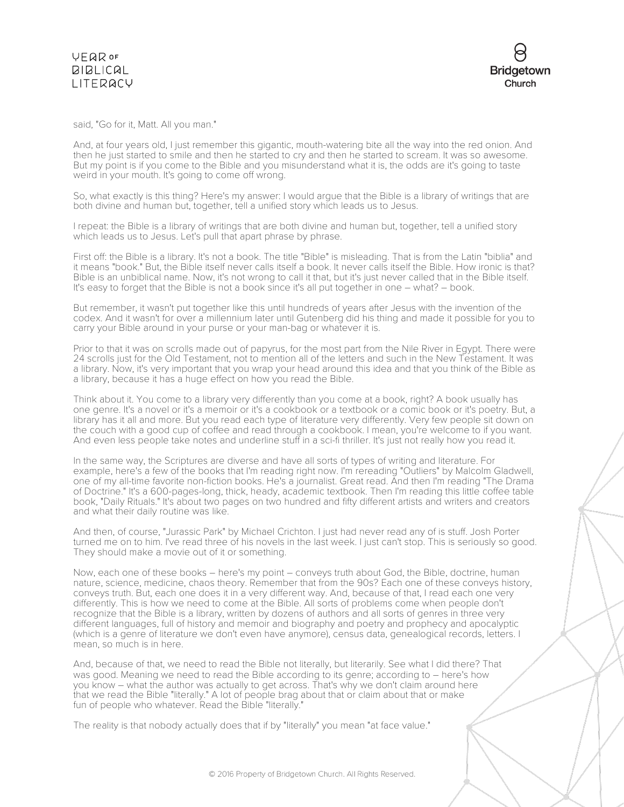said, "Go for it, Matt. All you man."

And, at four years old, I just remember this gigantic, mouth-watering bite all the way into the red onion. And then he just started to smile and then he started to cry and then he started to scream. It was so awesome. But my point is if you come to the Bible and you misunderstand what it is, the odds are it's going to taste weird in your mouth. It's going to come off wrong.

So, what exactly is this thing? Here's my answer: I would argue that the Bible is a library of writings that are both divine and human but, together, tell a unified story which leads us to Jesus.

I repeat: the Bible is a library of writings that are both divine and human but, together, tell a unified story which leads us to Jesus. Let's pull that apart phrase by phrase.

First off: the Bible is a library. It's not a book. The title "Bible" is misleading. That is from the Latin "biblia" and it means "book." But, the Bible itself never calls itself a book. It never calls itself the Bible. How ironic is that? Bible is an unbiblical name. Now, it's not wrong to call it that, but it's just never called that in the Bible itself. It's easy to forget that the Bible is not a book since it's all put together in one – what? – book.

But remember, it wasn't put together like this until hundreds of years after Jesus with the invention of the codex. And it wasn't for over a millennium later until Gutenberg did his thing and made it possible for you to carry your Bible around in your purse or your man-bag or whatever it is.

Prior to that it was on scrolls made out of papyrus, for the most part from the Nile River in Egypt. There were 24 scrolls just for the Old Testament, not to mention all of the letters and such in the New Testament. It was a library. Now, it's very important that you wrap your head around this idea and that you think of the Bible as a library, because it has a huge effect on how you read the Bible.

Think about it. You come to a library very differently than you come at a book, right? A book usually has one genre. It's a novel or it's a memoir or it's a cookbook or a textbook or a comic book or it's poetry. But, a library has it all and more. But you read each type of literature very differently. Very few people sit down on the couch with a good cup of coffee and read through a cookbook. I mean, you're welcome to if you want. And even less people take notes and underline stuff in a sci-fi thriller. It's just not really how you read it.

In the same way, the Scriptures are diverse and have all sorts of types of writing and literature. For example, here's a few of the books that I'm reading right now. I'm rereading "Outliers" by Malcolm Gladwell, one of my all-time favorite non-fiction books. He's a journalist. Great read. And then I'm reading "The Drama of Doctrine." It's a 600-pages-long, thick, heady, academic textbook. Then I'm reading this little coffee table book, "Daily Rituals." It's about two pages on two hundred and fifty different artists and writers and creators and what their daily routine was like.

And then, of course, "Jurassic Park" by Michael Crichton. I just had never read any of is stuff. Josh Porter turned me on to him. I've read three of his novels in the last week. I just can't stop. This is seriously so good. They should make a movie out of it or something.

Now, each one of these books – here's my point – conveys truth about God, the Bible, doctrine, human nature, science, medicine, chaos theory. Remember that from the 90s? Each one of these conveys history, conveys truth. But, each one does it in a very different way. And, because of that, I read each one very differently. This is how we need to come at the Bible. All sorts of problems come when people don't recognize that the Bible is a library, written by dozens of authors and all sorts of genres in three very different languages, full of history and memoir and biography and poetry and prophecy and apocalyptic (which is a genre of literature we don't even have anymore), census data, genealogical records, letters. I mean, so much is in here.

And, because of that, we need to read the Bible not literally, but literarily. See what I did there? That was good. Meaning we need to read the Bible according to its genre; according to – here's how you know – what the author was actually to get across. That's why we don't claim around here that we read the Bible "literally." A lot of people brag about that or claim about that or make fun of people who whatever. Read the Bible "literally."

The reality is that nobody actually does that if by "literally" you mean "at face value."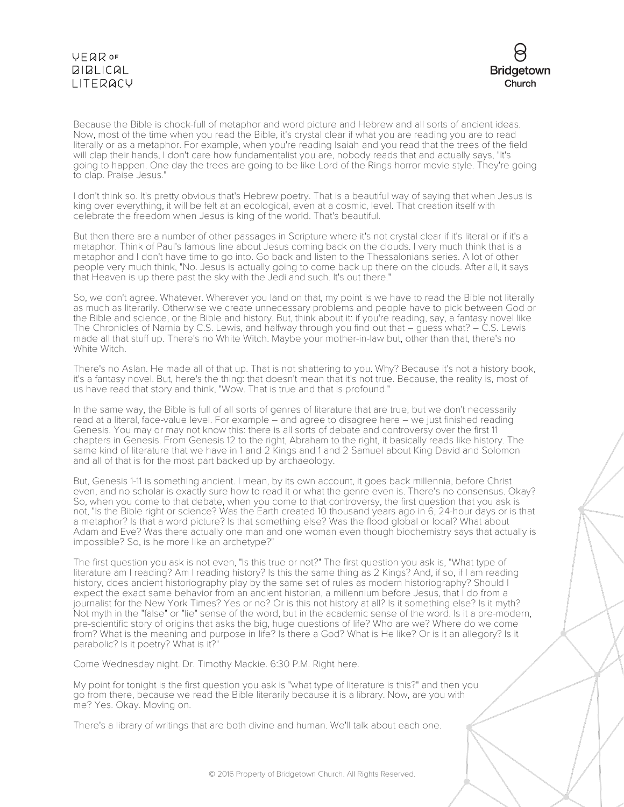# VEQROF **BIBLICAL** LITERACY



Because the Bible is chock-full of metaphor and word picture and Hebrew and all sorts of ancient ideas. Now, most of the time when you read the Bible, it's crystal clear if what you are reading you are to read literally or as a metaphor. For example, when you're reading Isaiah and you read that the trees of the field will clap their hands, I don't care how fundamentalist you are, nobody reads that and actually says, "It's going to happen. One day the trees are going to be like Lord of the Rings horror movie style. They're going to clap. Praise Jesus."

I don't think so. It's pretty obvious that's Hebrew poetry. That is a beautiful way of saying that when Jesus is king over everything, it will be felt at an ecological, even at a cosmic, level. That creation itself with celebrate the freedom when Jesus is king of the world. That's beautiful.

But then there are a number of other passages in Scripture where it's not crystal clear if it's literal or if it's a metaphor. Think of Paul's famous line about Jesus coming back on the clouds. I very much think that is a metaphor and I don't have time to go into. Go back and listen to the Thessalonians series. A lot of other people very much think, "No. Jesus is actually going to come back up there on the clouds. After all, it says that Heaven is up there past the sky with the Jedi and such. It's out there."

So, we don't agree. Whatever. Wherever you land on that, my point is we have to read the Bible not literally as much as literarily. Otherwise we create unnecessary problems and people have to pick between God or the Bible and science, or the Bible and history. But, think about it: if you're reading, say, a fantasy novel like The Chronicles of Narnia by C.S. Lewis, and halfway through you find out that – guess what? – C.S. Lewis made all that stuff up. There's no White Witch. Maybe your mother-in-law but, other than that, there's no White Witch.

There's no Aslan. He made all of that up. That is not shattering to you. Why? Because it's not a history book, it's a fantasy novel. But, here's the thing: that doesn't mean that it's not true. Because, the reality is, most of us have read that story and think, "Wow. That is true and that is profound."

In the same way, the Bible is full of all sorts of genres of literature that are true, but we don't necessarily read at a literal, face-value level. For example – and agree to disagree here – we just finished reading Genesis. You may or may not know this: there is all sorts of debate and controversy over the first 11 chapters in Genesis. From Genesis 12 to the right, Abraham to the right, it basically reads like history. The same kind of literature that we have in 1 and 2 Kings and 1 and 2 Samuel about King David and Solomon and all of that is for the most part backed up by archaeology.

But, Genesis 1-11 is something ancient. I mean, by its own account, it goes back millennia, before Christ even, and no scholar is exactly sure how to read it or what the genre even is. There's no consensus. Okay? So, when you come to that debate, when you come to that controversy, the first question that you ask is not, "Is the Bible right or science? Was the Earth created 10 thousand years ago in 6, 24-hour days or is that a metaphor? Is that a word picture? Is that something else? Was the flood global or local? What about Adam and Eve? Was there actually one man and one woman even though biochemistry says that actually is impossible? So, is he more like an archetype?"

The first question you ask is not even, "Is this true or not?" The first question you ask is, "What type of literature am I reading? Am I reading history? Is this the same thing as 2 Kings? And, if so, if I am reading history, does ancient historiography play by the same set of rules as modern historiography? Should I expect the exact same behavior from an ancient historian, a millennium before Jesus, that I do from a journalist for the New York Times? Yes or no? Or is this not history at all? Is it something else? Is it myth? Not myth in the "false" or "lie" sense of the word, but in the academic sense of the word. Is it a pre-modern, pre-scientific story of origins that asks the big, huge questions of life? Who are we? Where do we come from? What is the meaning and purpose in life? Is there a God? What is He like? Or is it an allegory? Is it parabolic? Is it poetry? What is it?"

Come Wednesday night. Dr. Timothy Mackie. 6:30 P.M. Right here.

My point for tonight is the first question you ask is "what type of literature is this?" and then you go from there, because we read the Bible literarily because it is a library. Now, are you with me? Yes. Okay. Moving on.

There's a library of writings that are both divine and human. We'll talk about each one.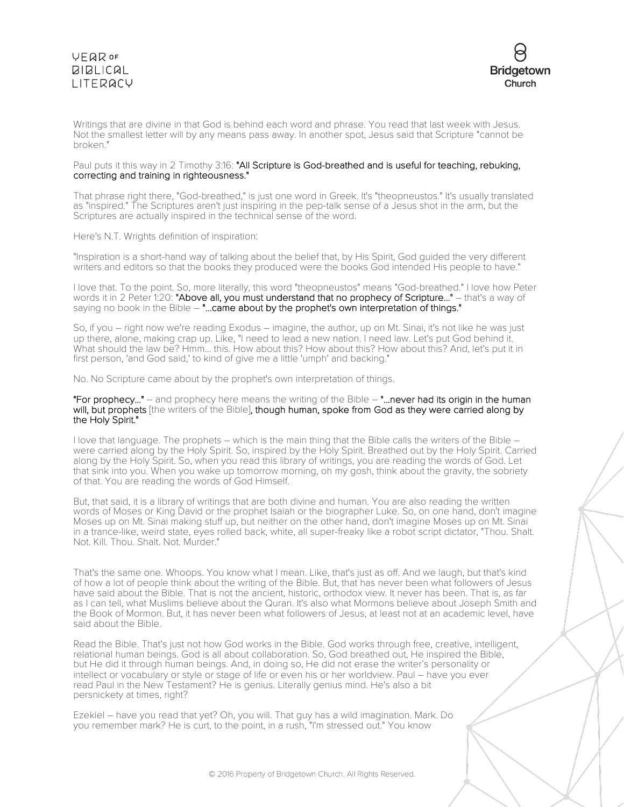# **VFQR OF BIBLICAL** LITERACY



Writings that are divine in that God is behind each word and phrase. You read that last week with Jesus. Not the smallest letter will by any means pass away. In another spot, Jesus said that Scripture "cannot be broken."

#### Paul puts it this way in 2 Timothy 3:16: "All Scripture is God-breathed and is useful for teaching, rebuking, correcting and training in righteousness."

That phrase right there, "God-breathed," is just one word in Greek. It's "theopneustos." It's usually translated as "inspired." The Scriptures aren't just inspiring in the pep-talk sense of a Jesus shot in the arm, but the Scriptures are actually inspired in the technical sense of the word.

Here's N.T. Wrights definition of inspiration:

"Inspiration is a short-hand way of talking about the belief that, by His Spirit, God guided the very different writers and editors so that the books they produced were the books God intended His people to have."

I love that. To the point. So, more literally, this word "theopneustos" means "God-breathed." I love how Peter words it in 2 Peter 1:20: "Above all, you must understand that no prophecy of Scripture..." – that's a way of saying no book in the Bible – "...came about by the prophet's own interpretation of things."

So, if you – right now we're reading Exodus – imagine, the author, up on Mt. Sinai, it's not like he was just up there, alone, making crap up. Like, "I need to lead a new nation. I need law. Let's put God behind it. What should the law be? Hmm... this. How about this? How about this? How about this? And, let's put it in first person, 'and God said,' to kind of give me a little 'umph' and backing."

No. No Scripture came about by the prophet's own interpretation of things.

"For prophecy..." – and prophecy here means the writing of the Bible  $-$  "...never had its origin in the human will, but prophets [the writers of the Bible], though human, spoke from God as they were carried along by the Holy Spirit."

I love that language. The prophets – which is the main thing that the Bible calls the writers of the Bible – were carried along by the Holy Spirit. So, inspired by the Holy Spirit. Breathed out by the Holy Spirit. Carried along by the Holy Spirit. So, when you read this library of writings, you are reading the words of God. Let that sink into you. When you wake up tomorrow morning, oh my gosh, think about the gravity, the sobriety of that. You are reading the words of God Himself.

But, that said, it is a library of writings that are both divine and human. You are also reading the written words of Moses or King David or the prophet Isaiah or the biographer Luke. So, on one hand, don't imagine Moses up on Mt. Sinai making stuff up, but neither on the other hand, don't imagine Moses up on Mt. Sinai in a trance-like, weird state, eyes rolled back, white, all super-freaky like a robot script dictator, "Thou. Shalt. Not. Kill. Thou. Shalt. Not. Murder."

That's the same one. Whoops. You know what I mean. Like, that's just as off. And we laugh, but that's kind of how a lot of people think about the writing of the Bible. But, that has never been what followers of Jesus have said about the Bible. That is not the ancient, historic, orthodox view. It never has been. That is, as far as I can tell, what Muslims believe about the Quran. It's also what Mormons believe about Joseph Smith and the Book of Mormon. But, it has never been what followers of Jesus, at least not at an academic level, have said about the Bible.

Read the Bible. That's just not how God works in the Bible. God works through free, creative, intelligent, relational human beings. God is all about collaboration. So, God breathed out, He inspired the Bible, but He did it through human beings. And, in doing so, He did not erase the writer's personality or intellect or vocabulary or style or stage of life or even his or her worldview. Paul – have you ever read Paul in the New Testament? He is genius. Literally genius mind. He's also a bit persnickety at times, right?

Ezekiel – have you read that yet? Oh, you will. That guy has a wild imagination. Mark. Do you remember mark? He is curt, to the point, in a rush, "I'm stressed out." You know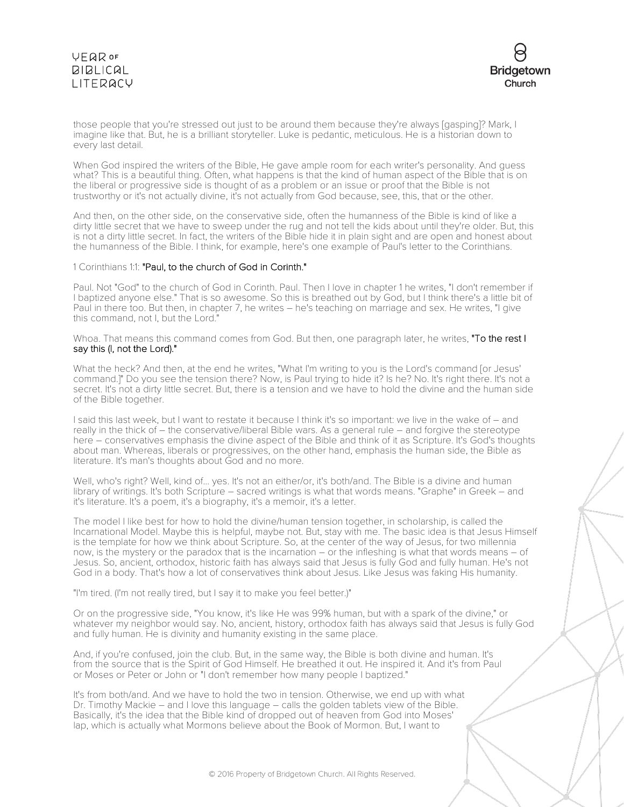# **VFQR OF BIBLICAL** LITERACY



those people that you're stressed out just to be around them because they're always [gasping]? Mark, I imagine like that. But, he is a brilliant storyteller. Luke is pedantic, meticulous. He is a historian down to every last detail.

When God inspired the writers of the Bible, He gave ample room for each writer's personality. And guess what? This is a beautiful thing. Often, what happens is that the kind of human aspect of the Bible that is on the liberal or progressive side is thought of as a problem or an issue or proof that the Bible is not trustworthy or it's not actually divine, it's not actually from God because, see, this, that or the other.

And then, on the other side, on the conservative side, often the humanness of the Bible is kind of like a dirty little secret that we have to sweep under the rug and not tell the kids about until they're older. But, this is not a dirty little secret. In fact, the writers of the Bible hide it in plain sight and are open and honest about the humanness of the Bible. I think, for example, here's one example of Paul's letter to the Corinthians.

#### 1 Corinthians 1:1: "Paul, to the church of God in Corinth."

Paul. Not "God" to the church of God in Corinth. Paul. Then I love in chapter 1 he writes, "I don't remember if I baptized anyone else." That is so awesome. So this is breathed out by God, but I think there's a little bit of Paul in there too. But then, in chapter 7, he writes – he's teaching on marriage and sex. He writes, "I give this command, not I, but the Lord."

Whoa. That means this command comes from God. But then, one paragraph later, he writes, "To the rest I say this (I, not the Lord)."

What the heck? And then, at the end he writes, "What I'm writing to you is the Lord's command [or Jesus' command.]" Do you see the tension there? Now, is Paul trying to hide it? Is he? No. It's right there. It's not a secret. It's not a dirty little secret. But, there is a tension and we have to hold the divine and the human side of the Bible together.

I said this last week, but I want to restate it because I think it's so important: we live in the wake of – and really in the thick of – the conservative/liberal Bible wars. As a general rule – and forgive the stereotype here – conservatives emphasis the divine aspect of the Bible and think of it as Scripture. It's God's thoughts about man. Whereas, liberals or progressives, on the other hand, emphasis the human side, the Bible as literature. It's man's thoughts about God and no more.

Well, who's right? Well, kind of... yes. It's not an either/or, it's both/and. The Bible is a divine and human library of writings. It's both Scripture – sacred writings is what that words means. "Graphe" in Greek – and it's literature. It's a poem, it's a biography, it's a memoir, it's a letter.

The model I like best for how to hold the divine/human tension together, in scholarship, is called the Incarnational Model. Maybe this is helpful, maybe not. But, stay with me. The basic idea is that Jesus Himself is the template for how we think about Scripture. So, at the center of the way of Jesus, for two millennia now, is the mystery or the paradox that is the incarnation – or the infleshing is what that words means – of Jesus. So, ancient, orthodox, historic faith has always said that Jesus is fully God and fully human. He's not God in a body. That's how a lot of conservatives think about Jesus. Like Jesus was faking His humanity.

"I'm tired. (I'm not really tired, but I say it to make you feel better.)"

Or on the progressive side, "You know, it's like He was 99% human, but with a spark of the divine," or whatever my neighbor would say. No, ancient, history, orthodox faith has always said that Jesus is fully God and fully human. He is divinity and humanity existing in the same place.

And, if you're confused, join the club. But, in the same way, the Bible is both divine and human. It's from the source that is the Spirit of God Himself. He breathed it out. He inspired it. And it's from Paul or Moses or Peter or John or "I don't remember how many people I baptized."

It's from both/and. And we have to hold the two in tension. Otherwise, we end up with what Dr. Timothy Mackie – and I love this language – calls the golden tablets view of the Bible. Basically, it's the idea that the Bible kind of dropped out of heaven from God into Moses' lap, which is actually what Mormons believe about the Book of Mormon. But, I want to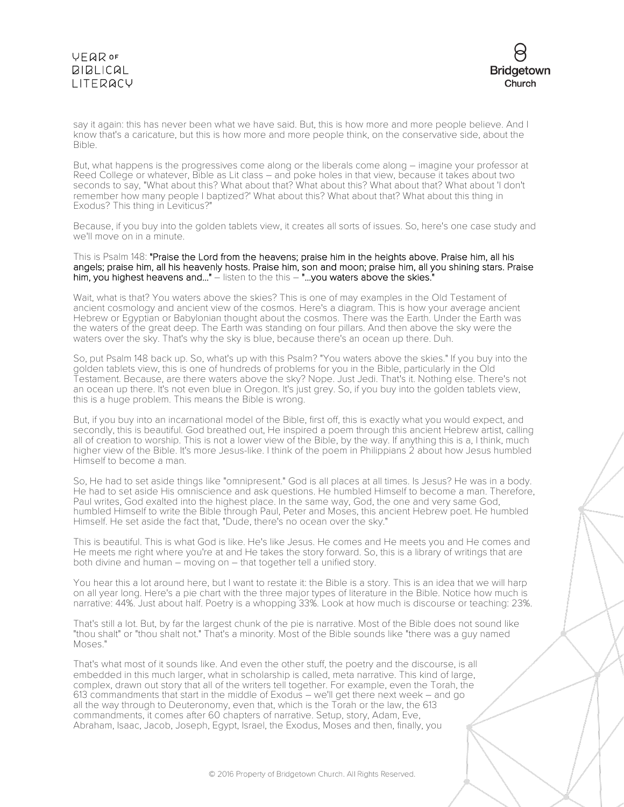# VEQROF **BIBLICAL** LITERACY



say it again: this has never been what we have said. But, this is how more and more people believe. And I know that's a caricature, but this is how more and more people think, on the conservative side, about the Bible.

But, what happens is the progressives come along or the liberals come along – imagine your professor at Reed College or whatever, Bible as Lit class – and poke holes in that view, because it takes about two seconds to say, "What about this? What about that? What about this? What about that? What about 'I don't remember how many people I baptized?' What about this? What about that? What about this thing in Exodus? This thing in Leviticus?"

Because, if you buy into the golden tablets view, it creates all sorts of issues. So, here's one case study and we'll move on in a minute.

This is Psalm 148: "Praise the Lord from the heavens; praise him in the heights above. Praise him, all his angels; praise him, all his heavenly hosts. Praise him, son and moon; praise him, all you shining stars. Praise him, you highest heavens and..." – listen to the this – "...you waters above the skies."

Wait, what is that? You waters above the skies? This is one of may examples in the Old Testament of ancient cosmology and ancient view of the cosmos. Here's a diagram. This is how your average ancient Hebrew or Egyptian or Babylonian thought about the cosmos. There was the Earth. Under the Earth was the waters of the great deep. The Earth was standing on four pillars. And then above the sky were the waters over the sky. That's why the sky is blue, because there's an ocean up there. Duh.

So, put Psalm 148 back up. So, what's up with this Psalm? "You waters above the skies." If you buy into the golden tablets view, this is one of hundreds of problems for you in the Bible, particularly in the Old Testament. Because, are there waters above the sky? Nope. Just Jedi. That's it. Nothing else. There's not an ocean up there. It's not even blue in Oregon. It's just grey. So, if you buy into the golden tablets view, this is a huge problem. This means the Bible is wrong.

But, if you buy into an incarnational model of the Bible, first off, this is exactly what you would expect, and secondly, this is beautiful. God breathed out, He inspired a poem through this ancient Hebrew artist, calling all of creation to worship. This is not a lower view of the Bible, by the way. If anything this is a, I think, much higher view of the Bible. It's more Jesus-like. I think of the poem in Philippians 2 about how Jesus humbled Himself to become a man.

So, He had to set aside things like "omnipresent." God is all places at all times. Is Jesus? He was in a body. He had to set aside His omniscience and ask questions. He humbled Himself to become a man. Therefore, Paul writes, God exalted into the highest place. In the same way, God, the one and very same God, humbled Himself to write the Bible through Paul, Peter and Moses, this ancient Hebrew poet. He humbled Himself. He set aside the fact that, "Dude, there's no ocean over the sky."

This is beautiful. This is what God is like. He's like Jesus. He comes and He meets you and He comes and He meets me right where you're at and He takes the story forward. So, this is a library of writings that are both divine and human – moving on – that together tell a unified story.

You hear this a lot around here, but I want to restate it: the Bible is a story. This is an idea that we will harp on all year long. Here's a pie chart with the three major types of literature in the Bible. Notice how much is narrative: 44%. Just about half. Poetry is a whopping 33%. Look at how much is discourse or teaching: 23%.

That's still a lot. But, by far the largest chunk of the pie is narrative. Most of the Bible does not sound like "thou shalt" or "thou shalt not." That's a minority. Most of the Bible sounds like "there was a guy named Moses."

That's what most of it sounds like. And even the other stuff, the poetry and the discourse, is all embedded in this much larger, what in scholarship is called, meta narrative. This kind of large, complex, drawn out story that all of the writers tell together. For example, even the Torah, the 613 commandments that start in the middle of Exodus – we'll get there next week – and go all the way through to Deuteronomy, even that, which is the Torah or the law, the 613 commandments, it comes after 60 chapters of narrative. Setup, story, Adam, Eve, Abraham, Isaac, Jacob, Joseph, Egypt, Israel, the Exodus, Moses and then, finally, you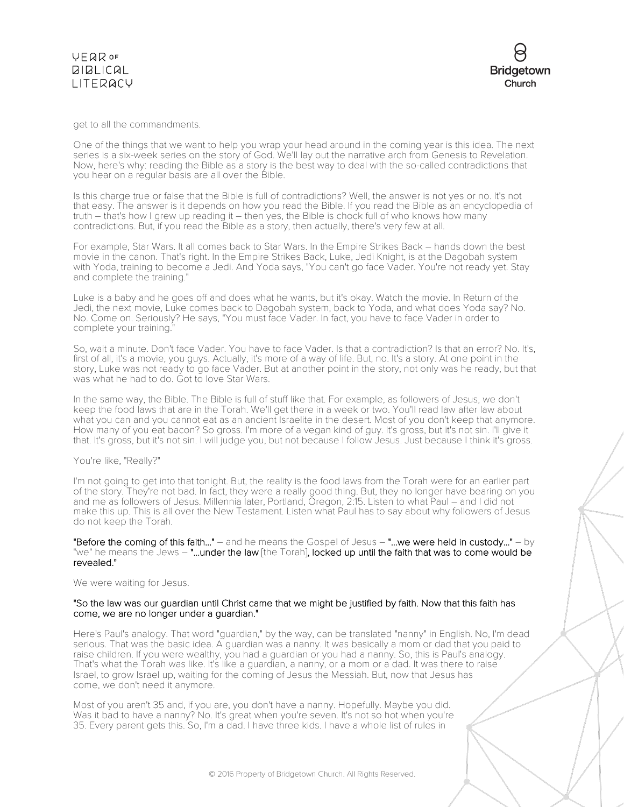### **VFQR OF BIBLICAL** LITERACY

get to all the commandments.

One of the things that we want to help you wrap your head around in the coming year is this idea. The next series is a six-week series on the story of God. We'll lay out the narrative arch from Genesis to Revelation. Now, here's why: reading the Bible as a story is the best way to deal with the so-called contradictions that you hear on a regular basis are all over the Bible.

Is this charge true or false that the Bible is full of contradictions? Well, the answer is not yes or no. It's not that easy. The answer is it depends on how you read the Bible. If you read the Bible as an encyclopedia of truth – that's how I grew up reading it – then yes, the Bible is chock full of who knows how many contradictions. But, if you read the Bible as a story, then actually, there's very few at all.

For example, Star Wars. It all comes back to Star Wars. In the Empire Strikes Back – hands down the best movie in the canon. That's right. In the Empire Strikes Back, Luke, Jedi Knight, is at the Dagobah system with Yoda, training to become a Jedi. And Yoda says, "You can't go face Vader. You're not ready yet. Stay and complete the training."

Luke is a baby and he goes off and does what he wants, but it's okay. Watch the movie. In Return of the Jedi, the next movie, Luke comes back to Dagobah system, back to Yoda, and what does Yoda say? No. No. Come on. Seriously? He says, "You must face Vader. In fact, you have to face Vader in order to complete your training."

So, wait a minute. Don't face Vader. You have to face Vader. Is that a contradiction? Is that an error? No. It's, first of all, it's a movie, you guys. Actually, it's more of a way of life. But, no. It's a story. At one point in the story, Luke was not ready to go face Vader. But at another point in the story, not only was he ready, but that was what he had to do. Got to love Star Wars.

In the same way, the Bible. The Bible is full of stuff like that. For example, as followers of Jesus, we don't keep the food laws that are in the Torah. We'll get there in a week or two. You'll read law after law about what you can and you cannot eat as an ancient Israelite in the desert. Most of you don't keep that anymore. How many of you eat bacon? So gross. I'm more of a vegan kind of guy. It's gross, but it's not sin. I'll give it that. It's gross, but it's not sin. I will judge you, but not because I follow Jesus. Just because I think it's gross.

#### You're like, "Really?"

I'm not going to get into that tonight. But, the reality is the food laws from the Torah were for an earlier part of the story. They're not bad. In fact, they were a really good thing. But, they no longer have bearing on you and me as followers of Jesus. Millennia later, Portland, Oregon, 2:15. Listen to what Paul – and I did not make this up. This is all over the New Testament. Listen what Paul has to say about why followers of Jesus do not keep the Torah.

"Before the coming of this faith..."  $-$  and he means the Gospel of Jesus  $-$  "...we were held in custody..."  $-$  by "we" he means the Jews - "...under the law [the Torah], locked up until the faith that was to come would be revealed."

We were waiting for Jesus.

#### "So the law was our guardian until Christ came that we might be justified by faith. Now that this faith has come, we are no longer under a guardian."

Here's Paul's analogy. That word "guardian," by the way, can be translated "nanny" in English. No, I'm dead serious. That was the basic idea. A guardian was a nanny. It was basically a mom or dad that you paid to raise children. If you were wealthy, you had a guardian or you had a nanny. So, this is Paul's analogy. That's what the Torah was like. It's like a guardian, a nanny, or a mom or a dad. It was there to raise Israel, to grow Israel up, waiting for the coming of Jesus the Messiah. But, now that Jesus has come, we don't need it anymore.

Most of you aren't 35 and, if you are, you don't have a nanny. Hopefully. Maybe you did. Was it bad to have a nanny? No. It's great when you're seven. It's not so hot when you're 35. Every parent gets this. So, I'm a dad. I have three kids. I have a whole list of rules in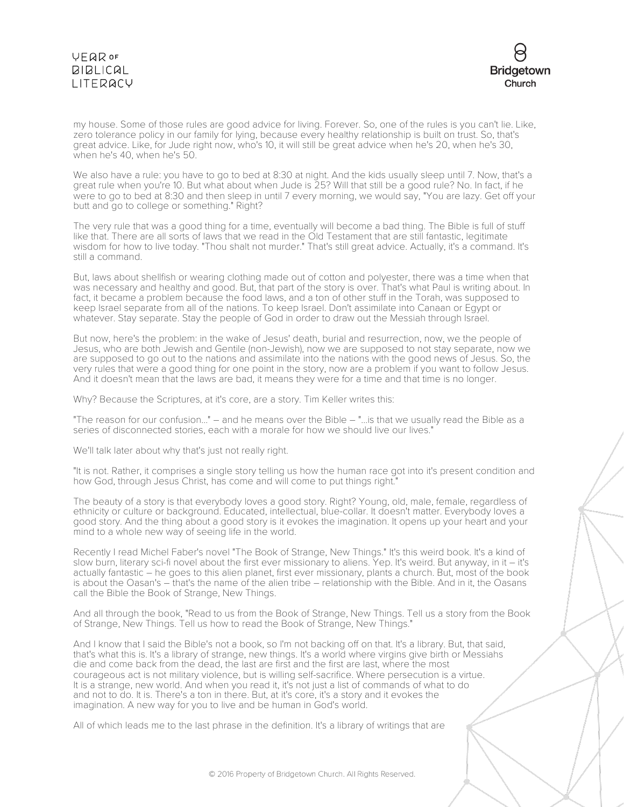# VEQROF **BIBLICAL** LITERACY



my house. Some of those rules are good advice for living. Forever. So, one of the rules is you can't lie. Like, zero tolerance policy in our family for lying, because every healthy relationship is built on trust. So, that's great advice. Like, for Jude right now, who's 10, it will still be great advice when he's 20, when he's 30, when he's 40, when he's 50.

We also have a rule: you have to go to bed at 8:30 at night. And the kids usually sleep until 7. Now, that's a great rule when you're 10. But what about when Jude is 25? Will that still be a good rule? No. In fact, if he were to go to bed at 8:30 and then sleep in until 7 every morning, we would say, "You are lazy. Get off your butt and go to college or something." Right?

The very rule that was a good thing for a time, eventually will become a bad thing. The Bible is full of stuff like that. There are all sorts of laws that we read in the Old Testament that are still fantastic, legitimate wisdom for how to live today. "Thou shalt not murder." That's still great advice. Actually, it's a command. It's still a command.

But, laws about shellfish or wearing clothing made out of cotton and polyester, there was a time when that was necessary and healthy and good. But, that part of the story is over. That's what Paul is writing about. In fact, it became a problem because the food laws, and a ton of other stuff in the Torah, was supposed to keep Israel separate from all of the nations. To keep Israel. Don't assimilate into Canaan or Egypt or whatever. Stay separate. Stay the people of God in order to draw out the Messiah through Israel.

But now, here's the problem: in the wake of Jesus' death, burial and resurrection, now, we the people of Jesus, who are both Jewish and Gentile (non-Jewish), now we are supposed to not stay separate, now we are supposed to go out to the nations and assimilate into the nations with the good news of Jesus. So, the very rules that were a good thing for one point in the story, now are a problem if you want to follow Jesus. And it doesn't mean that the laws are bad, it means they were for a time and that time is no longer.

Why? Because the Scriptures, at it's core, are a story. Tim Keller writes this:

"The reason for our confusion..." – and he means over the Bible – "...is that we usually read the Bible as a series of disconnected stories, each with a morale for how we should live our lives."

We'll talk later about why that's just not really right.

"It is not. Rather, it comprises a single story telling us how the human race got into it's present condition and how God, through Jesus Christ, has come and will come to put things right."

The beauty of a story is that everybody loves a good story. Right? Young, old, male, female, regardless of ethnicity or culture or background. Educated, intellectual, blue-collar. It doesn't matter. Everybody loves a good story. And the thing about a good story is it evokes the imagination. It opens up your heart and your mind to a whole new way of seeing life in the world.

Recently I read Michel Faber's novel "The Book of Strange, New Things." It's this weird book. It's a kind of slow burn, literary sci-fi novel about the first ever missionary to aliens. Yep. It's weird. But anyway, in it – it's actually fantastic – he goes to this alien planet, first ever missionary, plants a church. But, most of the book is about the Oasan's – that's the name of the alien tribe – relationship with the Bible. And in it, the Oasans call the Bible the Book of Strange, New Things.

And all through the book, "Read to us from the Book of Strange, New Things. Tell us a story from the Book of Strange, New Things. Tell us how to read the Book of Strange, New Things."

And I know that I said the Bible's not a book, so I'm not backing off on that. It's a library. But, that said, that's what this is. It's a library of strange, new things. It's a world where virgins give birth or Messiahs die and come back from the dead, the last are first and the first are last, where the most courageous act is not military violence, but is willing self-sacrifice. Where persecution is a virtue. It is a strange, new world. And when you read it, it's not just a list of commands of what to do and not to do. It is. There's a ton in there. But, at it's core, it's a story and it evokes the imagination. A new way for you to live and be human in God's world.

All of which leads me to the last phrase in the definition. It's a library of writings that are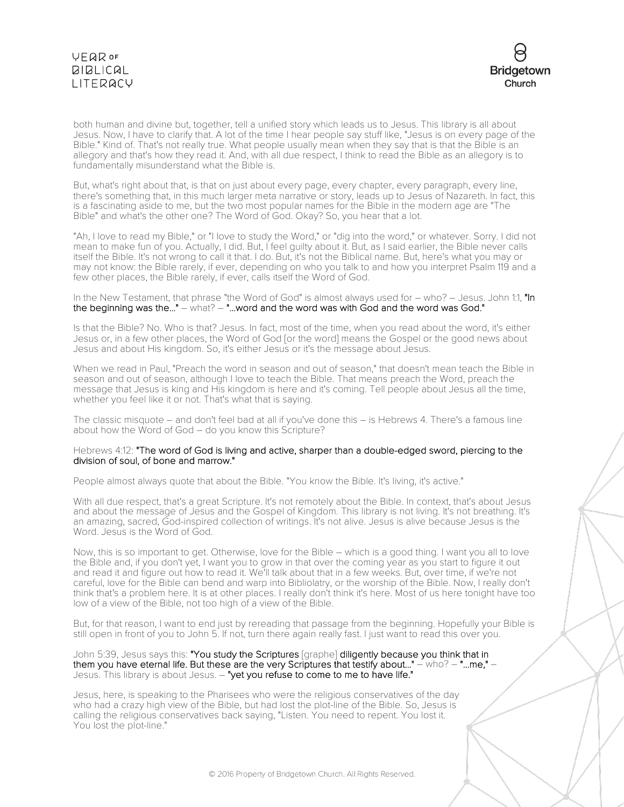

both human and divine but, together, tell a unified story which leads us to Jesus. This library is all about Jesus. Now, I have to clarify that. A lot of the time I hear people say stuff like, "Jesus is on every page of the Bible." Kind of. That's not really true. What people usually mean when they say that is that the Bible is an allegory and that's how they read it. And, with all due respect, I think to read the Bible as an allegory is to fundamentally misunderstand what the Bible is.

But, what's right about that, is that on just about every page, every chapter, every paragraph, every line, there's something that, in this much larger meta narrative or story, leads up to Jesus of Nazareth. In fact, this is a fascinating aside to me, but the two most popular names for the Bible in the modern age are "The Bible" and what's the other one? The Word of God. Okay? So, you hear that a lot.

"Ah, I love to read my Bible," or "I love to study the Word," or "dig into the word," or whatever. Sorry. I did not mean to make fun of you. Actually, I did. But, I feel guilty about it. But, as I said earlier, the Bible never calls itself the Bible. It's not wrong to call it that. I do. But, it's not the Biblical name. But, here's what you may or may not know: the Bible rarely, if ever, depending on who you talk to and how you interpret Psalm 119 and a few other places, the Bible rarely, if ever, calls itself the Word of God.

In the New Testament, that phrase "the Word of God" is almost always used for – who? – Jesus. John 1:1, "In the beginning was the..." – what? – "...word and the word was with God and the word was God."

Is that the Bible? No. Who is that? Jesus. In fact, most of the time, when you read about the word, it's either Jesus or, in a few other places, the Word of God [or the word] means the Gospel or the good news about Jesus and about His kingdom. So, it's either Jesus or it's the message about Jesus.

When we read in Paul, "Preach the word in season and out of season," that doesn't mean teach the Bible in season and out of season, although I love to teach the Bible. That means preach the Word, preach the message that Jesus is king and His kingdom is here and it's coming. Tell people about Jesus all the time, whether you feel like it or not. That's what that is saying.

The classic misquote – and don't feel bad at all if you've done this – is Hebrews 4. There's a famous line about how the Word of God – do you know this Scripture?

#### Hebrews 4:12: "The word of God is living and active, sharper than a double-edged sword, piercing to the division of soul, of bone and marrow."

People almost always quote that about the Bible. "You know the Bible. It's living, it's active."

With all due respect, that's a great Scripture. It's not remotely about the Bible. In context, that's about Jesus and about the message of Jesus and the Gospel of Kingdom. This library is not living. It's not breathing. It's an amazing, sacred, God-inspired collection of writings. It's not alive. Jesus is alive because Jesus is the Word. Jesus is the Word of God.

Now, this is so important to get. Otherwise, love for the Bible – which is a good thing. I want you all to love the Bible and, if you don't yet, I want you to grow in that over the coming year as you start to figure it out and read it and figure out how to read it. We'll talk about that in a few weeks. But, over time, if we're not careful, love for the Bible can bend and warp into Bibliolatry, or the worship of the Bible. Now, I really don't think that's a problem here. It is at other places. I really don't think it's here. Most of us here tonight have too low of a view of the Bible, not too high of a view of the Bible.

But, for that reason, I want to end just by rereading that passage from the beginning. Hopefully your Bible is still open in front of you to John 5. If not, turn there again really fast. I just want to read this over you.

John 5:39, Jesus says this: "You study the Scriptures [graphe] diligently because you think that in them you have eternal life. But these are the very Scriptures that testify about..." – who? – "...me," – Jesus. This library is about Jesus. - "yet you refuse to come to me to have life."

Jesus, here, is speaking to the Pharisees who were the religious conservatives of the day who had a crazy high view of the Bible, but had lost the plot-line of the Bible. So, Jesus is calling the religious conservatives back saying, "Listen. You need to repent. You lost it. You lost the plot-line."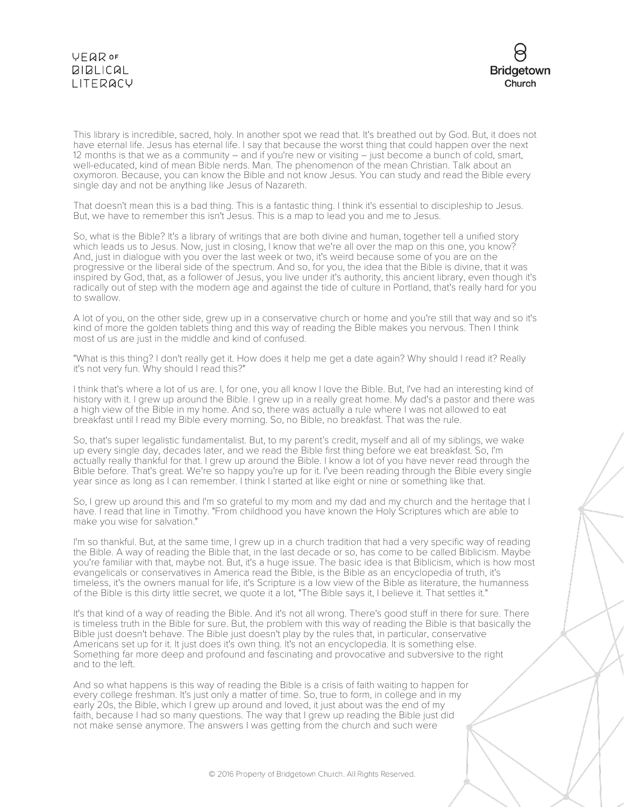# **VEQR OF BIBLICAL** LITERACY



This library is incredible, sacred, holy. In another spot we read that. It's breathed out by God. But, it does not have eternal life. Jesus has eternal life. I say that because the worst thing that could happen over the next 12 months is that we as a community – and if you're new or visiting – just become a bunch of cold, smart, well-educated, kind of mean Bible nerds. Man. The phenomenon of the mean Christian. Talk about an oxymoron. Because, you can know the Bible and not know Jesus. You can study and read the Bible every single day and not be anything like Jesus of Nazareth.

That doesn't mean this is a bad thing. This is a fantastic thing. I think it's essential to discipleship to Jesus. But, we have to remember this isn't Jesus. This is a map to lead you and me to Jesus.

So, what is the Bible? It's a library of writings that are both divine and human, together tell a unified story which leads us to Jesus. Now, just in closing, I know that we're all over the map on this one, you know? And, just in dialogue with you over the last week or two, it's weird because some of you are on the progressive or the liberal side of the spectrum. And so, for you, the idea that the Bible is divine, that it was inspired by God, that, as a follower of Jesus, you live under it's authority, this ancient library, even though it's radically out of step with the modern age and against the tide of culture in Portland, that's really hard for you to swallow.

A lot of you, on the other side, grew up in a conservative church or home and you're still that way and so it's kind of more the golden tablets thing and this way of reading the Bible makes you nervous. Then I think most of us are just in the middle and kind of confused.

"What is this thing? I don't really get it. How does it help me get a date again? Why should I read it? Really it's not very fun. Why should I read this?"

I think that's where a lot of us are. I, for one, you all know I love the Bible. But, I've had an interesting kind of history with it. I grew up around the Bible. I grew up in a really great home. My dad's a pastor and there was a high view of the Bible in my home. And so, there was actually a rule where I was not allowed to eat breakfast until I read my Bible every morning. So, no Bible, no breakfast. That was the rule.

So, that's super legalistic fundamentalist. But, to my parent's credit, myself and all of my siblings, we wake up every single day, decades later, and we read the Bible first thing before we eat breakfast. So, I'm actually really thankful for that. I grew up around the Bible. I know a lot of you have never read through the Bible before. That's great. We're so happy you're up for it. I've been reading through the Bible every single year since as long as I can remember. I think I started at like eight or nine or something like that.

So, I grew up around this and I'm so grateful to my mom and my dad and my church and the heritage that I have. I read that line in Timothy. "From childhood you have known the Holy Scriptures which are able to make you wise for salvation."

I'm so thankful. But, at the same time, I grew up in a church tradition that had a very specific way of reading the Bible. A way of reading the Bible that, in the last decade or so, has come to be called Biblicism. Maybe you're familiar with that, maybe not. But, it's a huge issue. The basic idea is that Biblicism, which is how most evangelicals or conservatives in America read the Bible, is the Bible as an encyclopedia of truth, it's timeless, it's the owners manual for life, it's Scripture is a low view of the Bible as literature, the humanness of the Bible is this dirty little secret, we quote it a lot, "The Bible says it, I believe it. That settles it."

It's that kind of a way of reading the Bible. And it's not all wrong. There's good stuff in there for sure. There is timeless truth in the Bible for sure. But, the problem with this way of reading the Bible is that basically the Bible just doesn't behave. The Bible just doesn't play by the rules that, in particular, conservative Americans set up for it. It just does it's own thing. It's not an encyclopedia. It is something else. Something far more deep and profound and fascinating and provocative and subversive to the right and to the left.

And so what happens is this way of reading the Bible is a crisis of faith waiting to happen for every college freshman. It's just only a matter of time. So, true to form, in college and in my early 20s, the Bible, which I grew up around and loved, it just about was the end of my faith, because I had so many questions. The way that I grew up reading the Bible just did not make sense anymore. The answers I was getting from the church and such were